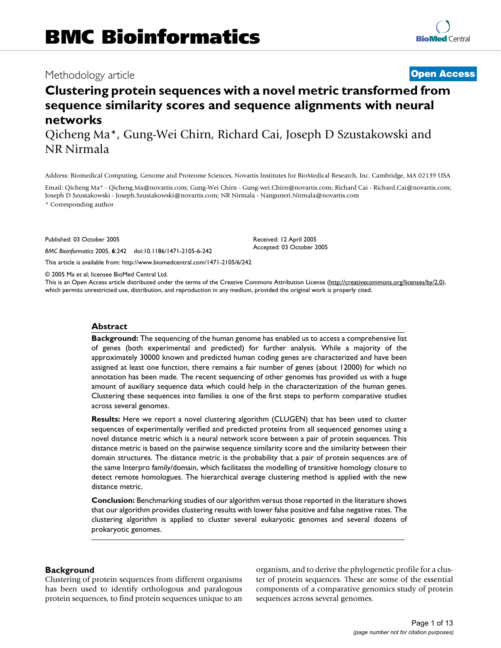## Methodology article **[Open Access](http://www.biomedcentral.com/info/about/charter/)**

# **Clustering protein sequences with a novel metric transformed from sequence similarity scores and sequence alignments with neural networks**

Qicheng Ma\*, Gung-Wei Chirn, Richard Cai, Joseph D Szustakowski and NR Nirmala

Address: Biomedical Computing, Genome and Proteome Sciences, Novartis Institutes for BioMedical Research, Inc. Cambridge, MA 02139 USA

Email: Qicheng Ma\* - Qicheng.Ma@novartis.com; Gung-Wei Chirn - Gung-wei.Chirn@novartis.com; Richard Cai - Richard.Cai@novartis.com; Joseph D Szustakowski - Joseph.Szustakowski@novartis.com; NR Nirmala - Nanguneri.Nirmala@novartis.com \* Corresponding author

> Received: 12 April 2005 Accepted: 03 October 2005

Published: 03 October 2005

*BMC Bioinformatics* 2005, **6**:242 doi:10.1186/1471-2105-6-242

[This article is available from: http://www.biomedcentral.com/1471-2105/6/242](http://www.biomedcentral.com/1471-2105/6/242)

© 2005 Ma et al; licensee BioMed Central Ltd.

This is an Open Access article distributed under the terms of the Creative Commons Attribution License [\(http://creativecommons.org/licenses/by/2.0\)](http://creativecommons.org/licenses/by/2.0), which permits unrestricted use, distribution, and reproduction in any medium, provided the original work is properly cited.

#### **Abstract**

**Background:** The sequencing of the human genome has enabled us to access a comprehensive list of genes (both experimental and predicted) for further analysis. While a majority of the approximately 30000 known and predicted human coding genes are characterized and have been assigned at least one function, there remains a fair number of genes (about 12000) for which no annotation has been made. The recent sequencing of other genomes has provided us with a huge amount of auxiliary sequence data which could help in the characterization of the human genes. Clustering these sequences into families is one of the first steps to perform comparative studies across several genomes.

**Results:** Here we report a novel clustering algorithm (CLUGEN) that has been used to cluster sequences of experimentally verified and predicted proteins from all sequenced genomes using a novel distance metric which is a neural network score between a pair of protein sequences. This distance metric is based on the pairwise sequence similarity score and the similarity between their domain structures. The distance metric is the probability that a pair of protein sequences are of the same Interpro family/domain, which facilitates the modelling of transitive homology closure to detect remote homologues. The hierarchical average clustering method is applied with the new distance metric.

**Conclusion:** Benchmarking studies of our algorithm versus those reported in the literature shows that our algorithm provides clustering results with lower false positive and false negative rates. The clustering algorithm is applied to cluster several eukaryotic genomes and several dozens of prokaryotic genomes.

#### **Background**

Clustering of protein sequences from different organisms has been used to identify orthologous and paralogous protein sequences, to find protein sequences unique to an organism, and to derive the phylogenetic profile for a cluster of protein sequences. These are some of the essential components of a comparative genomics study of protein sequences across several genomes.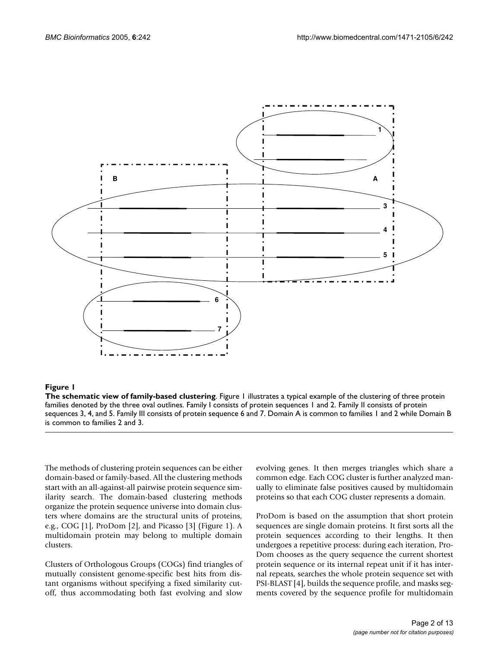

**The schematic view of family-based clustering**. Figure 1 illustrates a typical example of the clustering of three protein families denoted by the three oval outlines. Family I consists of protein sequences 1 and 2. Family II consists of protein sequences 3, 4, and 5. Family III consists of protein sequence 6 and 7. Domain A is common to families 1 and 2 while Domain B is common to families 2 and 3.

The methods of clustering protein sequences can be either domain-based or family-based. All the clustering methods start with an all-against-all pairwise protein sequence similarity search. The domain-based clustering methods organize the protein sequence universe into domain clusters where domains are the structural units of proteins, e.g., COG [1], ProDom [2], and Picasso [3] (Figure 1). A multidomain protein may belong to multiple domain clusters.

Clusters of Orthologous Groups (COGs) find triangles of mutually consistent genome-specific best hits from distant organisms without specifying a fixed similarity cutoff, thus accommodating both fast evolving and slow evolving genes. It then merges triangles which share a common edge. Each COG cluster is further analyzed manually to eliminate false positives caused by multidomain proteins so that each COG cluster represents a domain.

ProDom is based on the assumption that short protein sequences are single domain proteins. It first sorts all the protein sequences according to their lengths. It then undergoes a repetitive process: during each iteration, Pro-Dom chooses as the query sequence the current shortest protein sequence or its internal repeat unit if it has internal repeats, searches the whole protein sequence set with PSI-BLAST [4], builds the sequence profile, and masks segments covered by the sequence profile for multidomain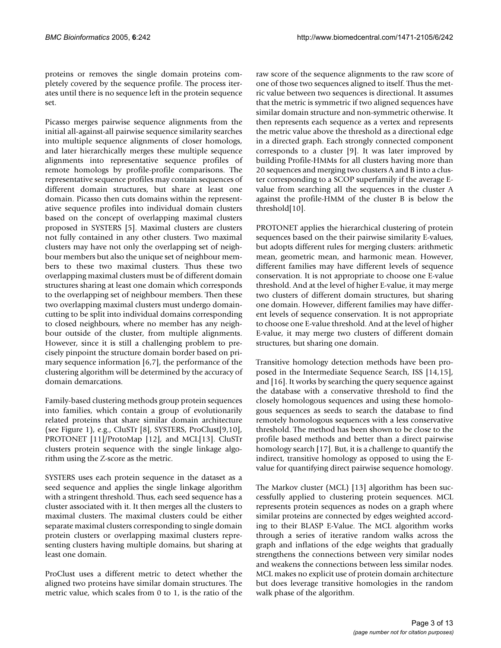proteins or removes the single domain proteins completely covered by the sequence profile. The process iterates until there is no sequence left in the protein sequence set.

Picasso merges pairwise sequence alignments from the initial all-against-all pairwise sequence similarity searches into multiple sequence alignments of closer homologs, and later hierarchically merges these multiple sequence alignments into representative sequence profiles of remote homologs by profile-profile comparisons. The representative sequence profiles may contain sequences of different domain structures, but share at least one domain. Picasso then cuts domains within the representative sequence profiles into individual domain clusters based on the concept of overlapping maximal clusters proposed in SYSTERS [5]. Maximal clusters are clusters not fully contained in any other clusters. Two maximal clusters may have not only the overlapping set of neighbour members but also the unique set of neighbour members to these two maximal clusters. Thus these two overlapping maximal clusters must be of different domain structures sharing at least one domain which corresponds to the overlapping set of neighbour members. Then these two overlapping maximal clusters must undergo domaincutting to be split into individual domains corresponding to closed neighbours, where no member has any neighbour outside of the cluster, from multiple alignments. However, since it is still a challenging problem to precisely pinpoint the structure domain border based on primary sequence information [6,7], the performance of the clustering algorithm will be determined by the accuracy of domain demarcations.

Family-based clustering methods group protein sequences into families, which contain a group of evolutionarily related proteins that share similar domain architecture (see Figure 1), e.g., CluSTr [8], SYSTERS, ProClust[9,10], PROTONET [11]/ProtoMap [12], and MCL[13]. CluSTr clusters protein sequence with the single linkage algorithm using the Z-score as the metric.

SYSTERS uses each protein sequence in the dataset as a seed sequence and applies the single linkage algorithm with a stringent threshold. Thus, each seed sequence has a cluster associated with it. It then merges all the clusters to maximal clusters. The maximal clusters could be either separate maximal clusters corresponding to single domain protein clusters or overlapping maximal clusters representing clusters having multiple domains, but sharing at least one domain.

ProClust uses a different metric to detect whether the aligned two proteins have similar domain structures. The metric value, which scales from 0 to 1, is the ratio of the raw score of the sequence alignments to the raw score of one of those two sequences aligned to itself. Thus the metric value between two sequences is directional. It assumes that the metric is symmetric if two aligned sequences have similar domain structure and non-symmetric otherwise. It then represents each sequence as a vertex and represents the metric value above the threshold as a directional edge in a directed graph. Each strongly connected component corresponds to a cluster [9]. It was later improved by building Profile-HMMs for all clusters having more than 20 sequences and merging two clusters A and B into a cluster corresponding to a SCOP superfamily if the average Evalue from searching all the sequences in the cluster A against the profile-HMM of the cluster B is below the threshold[10].

PROTONET applies the hierarchical clustering of protein sequences based on the their pairwise similarity E-values, but adopts different rules for merging clusters: arithmetic mean, geometric mean, and harmonic mean. However, different families may have different levels of sequence conservation. It is not appropriate to choose one E-value threshold. And at the level of higher E-value, it may merge two clusters of different domain structures, but sharing one domain. However, different families may have different levels of sequence conservation. It is not appropriate to choose one E-value threshold. And at the level of higher E-value, it may merge two clusters of different domain structures, but sharing one domain.

Transitive homology detection methods have been proposed in the Intermediate Sequence Search, ISS [14,15], and [16]. It works by searching the query sequence against the database with a conservative threshold to find the closely homologous sequences and using these homologous sequences as seeds to search the database to find remotely homologous sequences with a less conservative threshold. The method has been shown to be close to the profile based methods and better than a direct pairwise homology search [17]. But, it is a challenge to quantify the indirect, transitive homology as opposed to using the Evalue for quantifying direct pairwise sequence homology.

The Markov cluster (MCL) [13] algorithm has been successfully applied to clustering protein sequences. MCL represents protein sequences as nodes on a graph where similar proteins are connected by edges weighted according to their BLASP E-Value. The MCL algorithm works through a series of iterative random walks across the graph and inflations of the edge weights that gradually strengthens the connections between very similar nodes and weakens the connections between less similar nodes. MCL makes no explicit use of protein domain architecture but does leverage transitive homologies in the random walk phase of the algorithm.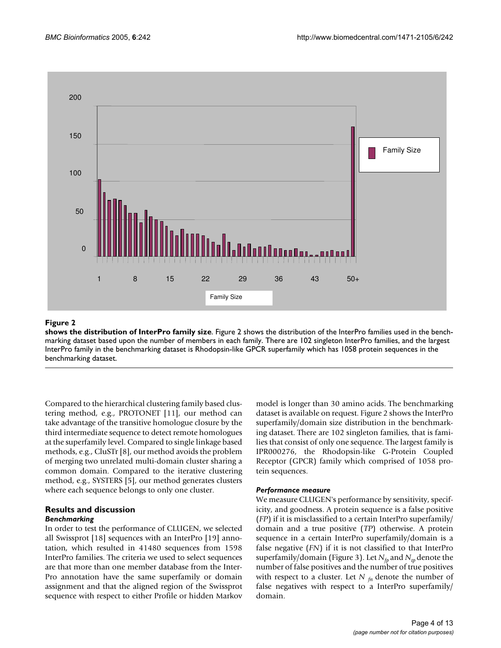

**shows the distribution of InterPro family size**. Figure 2 shows the distribution of the InterPro families used in the benchmarking dataset based upon the number of members in each family. There are 102 singleton InterPro families, and the largest InterPro family in the benchmarking dataset is Rhodopsin-like GPCR superfamily which has 1058 protein sequences in the benchmarking dataset.

Compared to the hierarchical clustering family based clustering method, e.g., PROTONET [11], our method can take advantage of the transitive homologue closure by the third intermediate sequence to detect remote homologues at the superfamily level. Compared to single linkage based methods, e.g., CluSTr [8], our method avoids the problem of merging two unrelated multi-domain cluster sharing a common domain. Compared to the iterative clustering method, e.g., SYSTERS [5], our method generates clusters where each sequence belongs to only one cluster.

#### **Results and discussion** *Benchmarking*

In order to test the performance of CLUGEN, we selected all Swissprot [18] sequences with an InterPro [19] annotation, which resulted in 41480 sequences from 1598 InterPro families. The criteria we used to select sequences are that more than one member database from the Inter-Pro annotation have the same superfamily or domain assignment and that the aligned region of the Swissprot sequence with respect to either Profile or hidden Markov model is longer than 30 amino acids. The benchmarking dataset is available on request. Figure 2 shows the InterPro superfamily/domain size distribution in the benchmarking dataset. There are 102 singleton families, that is families that consist of only one sequence. The largest family is IPR000276, the Rhodopsin-like G-Protein Coupled Receptor (GPCR) family which comprised of 1058 protein sequences.

#### *Performance measure*

We measure CLUGEN's performance by sensitivity, specificity, and goodness. A protein sequence is a false positive (*FP*) if it is misclassified to a certain InterPro superfamily/ domain and a true positive (*TP*) otherwise. A protein sequence in a certain InterPro superfamily/domain is a false negative (*FN*) if it is not classified to that InterPro superfamily/domain (Figure 3). Let  $N_{fp}$  and  $N_{tp}$  denote the number of false positives and the number of true positives with respect to a cluster. Let  $N_{fn}$  denote the number of false negatives with respect to a InterPro superfamily/ domain.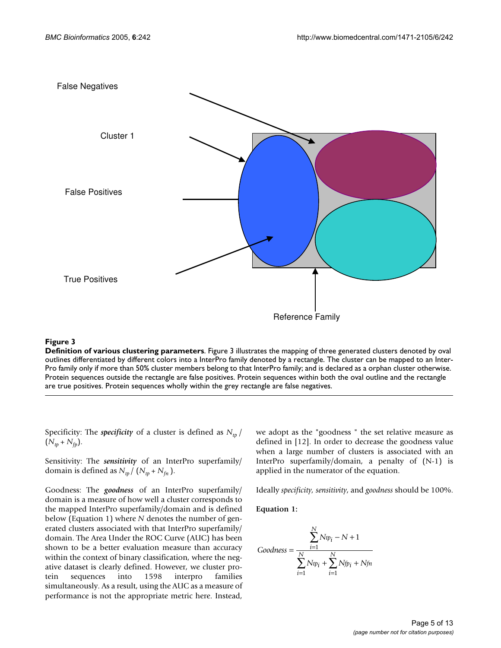

**Definition of various clustering parameters**. Figure 3 illustrates the mapping of three generated clusters denoted by oval outlines differentiated by different colors into a InterPro family denoted by a rectangle. The cluster can be mapped to an Inter-Pro family only if more than 50% cluster members belong to that InterPro family; and is declared as a orphan cluster otherwise. Protein sequences outside the rectangle are false positives. Protein sequences within both the oval outline and the rectangle are true positives. Protein sequences wholly within the grey rectangle are false negatives.

Specificity: The *specificity* of a cluster is defined as  $N_{\text{th}}$ /  $(N_{th} + N_{th})$ .

Sensitivity: The *sensitivity* of an InterPro superfamily/ domain is defined as  $N_{tp}$  / ( $N_{tp}$  +  $N_{fn}$ ).

Goodness: The *goodness* of an InterPro superfamily/ domain is a measure of how well a cluster corresponds to the mapped InterPro superfamily/domain and is defined below (Equation 1) where *N* denotes the number of generated clusters associated with that InterPro superfamily/ domain. The Area Under the ROC Curve (AUC) has been shown to be a better evaluation measure than accuracy within the context of binary classification, where the negative dataset is clearly defined. However, we cluster protein sequences into 1598 interpro families simultaneously. As a result, using the AUC as a measure of performance is not the appropriate metric here. Instead,

we adopt as the "goodness " the set relative measure as defined in [12]. In order to decrease the goodness value when a large number of clusters is associated with an InterPro superfamily/domain, a penalty of (N-1) is applied in the numerator of the equation.

Ideally *specificity, sensitivity*, and *goodness* should be 100%.

**Equation 1:**

$$
Goodness = \frac{\displaystyle\sum_{i=1}^{N}N_{tp_i}-N+1}{\displaystyle\sum_{i=1}^{N}N_{tp_i}+\displaystyle\sum_{i=1}^{N}N_{fp_i}+N_{fn}}
$$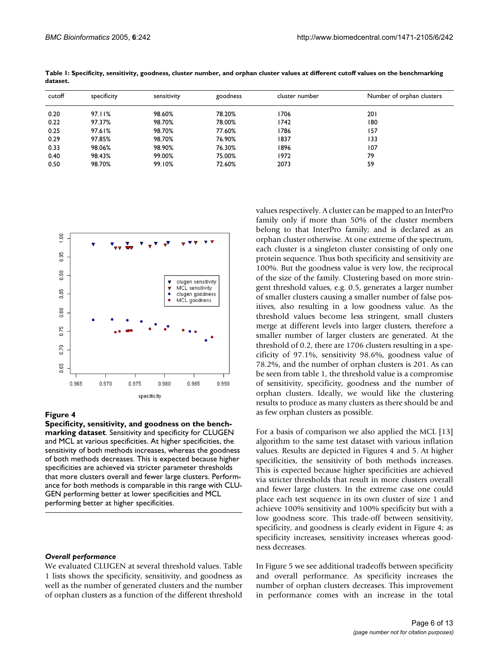| cutoff | specificity | sensitivity | goodness | cluster number | Number of orphan clusters |
|--------|-------------|-------------|----------|----------------|---------------------------|
| 0.20   | 97.11%      | 98.60%      | 78.20%   | 1706           | 201                       |
| 0.22   | 97.37%      | 98.70%      | 78.00%   | 1742           | 180                       |
| 0.25   | 97.61%      | 98.70%      | 77.60%   | 1786           | 157                       |
| 0.29   | 97.85%      | 98.70%      | 76.90%   | 1837           | 133                       |
| 0.33   | 98.06%      | 98.90%      | 76.30%   | 1896           | 107                       |
| 0.40   | 98.43%      | 99.00%      | 75.00%   | 1972           | 79                        |
| 0.50   | 98.70%      | 99.10%      | 72.60%   | 2073           | 59                        |

**Table 1: Specificity, sensitivity, goodness, cluster number, and orphan cluster values at different cutoff values on the benchmarking dataset.**



**Specificity, sensitivity, and goodness on the benchmarking dataset**. Sensitivity and specificity for CLUGEN and MCL at various specificities. At higher specificities, the sensitivity of both methods increases, whereas the goodness of both methods decreases. This is expected because higher specificities are achieved via stricter parameter thresholds that more clusters overall and fewer large clusters. Performance for both methods is comparable in this range with CLU-GEN performing better at lower specificities and MCL performing better at higher specificities.

#### *Overall performance*

We evaluated CLUGEN at several threshold values. Table 1 lists shows the specificity, sensitivity, and goodness as well as the number of generated clusters and the number of orphan clusters as a function of the different threshold values respectively. A cluster can be mapped to an InterPro family only if more than 50% of the cluster members belong to that InterPro family; and is declared as an orphan cluster otherwise. At one extreme of the spectrum, each cluster is a singleton cluster consisting of only one protein sequence. Thus both specificity and sensitivity are 100%. But the goodness value is very low, the reciprocal of the size of the family. Clustering based on more stringent threshold values, e.g. 0.5, generates a larger number of smaller clusters causing a smaller number of false positives, also resulting in a low goodness value. As the threshold values become less stringent, small clusters merge at different levels into larger clusters, therefore a smaller number of larger clusters are generated. At the threshold of 0.2, there are 1706 clusters resulting in a specificity of 97.1%, sensitivity 98.6%, goodness value of 78.2%, and the number of orphan clusters is 201. As can be seen from table 1, the threshold value is a compromise of sensitivity, specificity, goodness and the number of orphan clusters. Ideally, we would like the clustering results to produce as many clusters as there should be and as few orphan clusters as possible.

For a basis of comparison we also applied the MCL [13] algorithm to the same test dataset with various inflation values. Results are depicted in Figures 4 and [5](#page-6-0). At higher specificities, the sensitivity of both methods increases. This is expected because higher specificities are achieved via stricter thresholds that result in more clusters overall and fewer large clusters. In the extreme case one could place each test sequence in its own cluster of size 1 and achieve 100% sensitivity and 100% specificity but with a low goodness score. This trade-off between sensitivity, specificity, and goodness is clearly evident in Figure 4; as specificity increases, sensitivity increases whereas goodness decreases.

In Figure [5](#page-6-0) we see additional tradeoffs between specificity and overall performance. As specificity increases the number of orphan clusters decreases. This improvement in performance comes with an increase in the total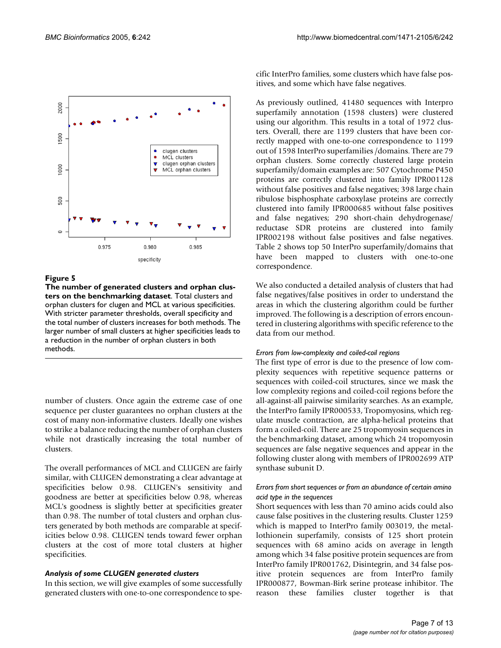<span id="page-6-0"></span>

**The number of generated clusters and orphan clusters on the benchmarking dataset**. Total clusters and orphan clusters for clugen and MCL at various specificities. With stricter parameter thresholds, overall specificity and the total number of clusters increases for both methods. The larger number of small clusters at higher specificities leads to a reduction in the number of orphan clusters in both methods.

number of clusters. Once again the extreme case of one sequence per cluster guarantees no orphan clusters at the cost of many non-informative clusters. Ideally one wishes to strike a balance reducing the number of orphan clusters while not drastically increasing the total number of clusters.

The overall performances of MCL and CLUGEN are fairly similar, with CLUGEN demonstrating a clear advantage at specificities below 0.98. CLUGEN's sensitivity and goodness are better at specificities below 0.98, whereas MCL's goodness is slightly better at specificities greater than 0.98. The number of total clusters and orphan clusters generated by both methods are comparable at specificities below 0.98. CLUGEN tends toward fewer orphan clusters at the cost of more total clusters at higher specificities.

#### *Analysis of some CLUGEN generated clusters*

In this section, we will give examples of some successfully generated clusters with one-to-one correspondence to specific InterPro families, some clusters which have false positives, and some which have false negatives.

As previously outlined, 41480 sequences with Interpro superfamily annotation (1598 clusters) were clustered using our algorithm. This results in a total of 1972 clusters. Overall, there are 1199 clusters that have been correctly mapped with one-to-one correspondence to 1199 out of 1598 InterPro superfamilies /domains. There are 79 orphan clusters. Some correctly clustered large protein superfamily/domain examples are: 507 Cytochrome P450 proteins are correctly clustered into family IPR001128 without false positives and false negatives; 398 large chain ribulose bisphosphate carboxylase proteins are correctly clustered into family IPR000685 without false positives and false negatives; 290 short-chain dehydrogenase/ reductase SDR proteins are clustered into family IPR002198 without false positives and false negatives. Table 2 shows top 50 InterPro superfamily/domains that have been mapped to clusters with one-to-one correspondence.

We also conducted a detailed analysis of clusters that had false negatives/false positives in order to understand the areas in which the clustering algorithm could be further improved. The following is a description of errors encountered in clustering algorithms with specific reference to the data from our method.

#### *Errors from low-complexity and coiled-coil regions*

The first type of error is due to the presence of low complexity sequences with repetitive sequence patterns or sequences with coiled-coil structures, since we mask the low complexity regions and coiled-coil regions before the all-against-all pairwise similarity searches. As an example, the InterPro family IPR000533, Tropomyosins, which regulate muscle contraction, are alpha-helical proteins that form a coiled-coil. There are 25 tropomyosin sequences in the benchmarking dataset, among which 24 tropomyosin sequences are false negative sequences and appear in the following cluster along with members of IPR002699 ATP synthase subunit D.

#### *Errors from short sequences or from an abundance of certain amino acid type in the sequences*

Short sequences with less than 70 amino acids could also cause false positives in the clustering results. Cluster 1259 which is mapped to InterPro family 003019, the metallothionein superfamily, consists of 125 short protein sequences with 68 amino acids on average in length among which 34 false positive protein sequences are from InterPro family IPR001762, Disintegrin, and 34 false positive protein sequences are from InterPro family IPR000877, Bowman-Birk serine protease inhibitor. The reason these families cluster together is that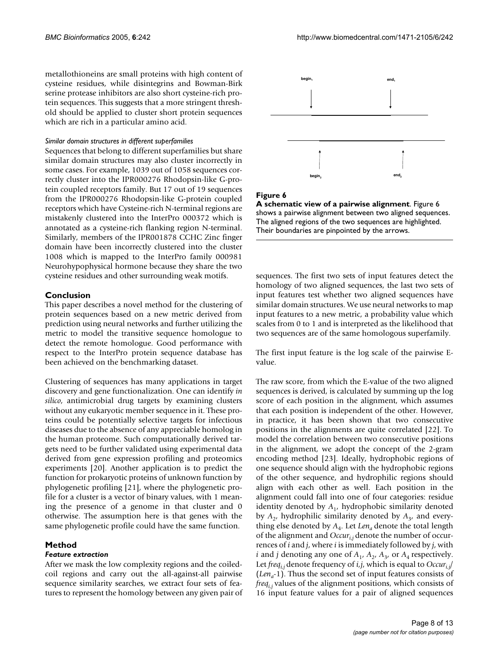metallothioneins are small proteins with high content of cysteine residues, while disintegrins and Bowman-Birk serine protease inhibitors are also short cysteine-rich protein sequences. This suggests that a more stringent threshold should be applied to cluster short protein sequences which are rich in a particular amino acid.

#### *Similar domain structures in different superfamilies*

Sequences that belong to different superfamilies but share similar domain structures may also cluster incorrectly in some cases. For example, 1039 out of 1058 sequences correctly cluster into the IPR000276 Rhodopsin-like G-protein coupled receptors family. But 17 out of 19 sequences from the IPR000276 Rhodopsin-like G-protein coupled receptors which have Cysteine-rich N-terminal regions are mistakenly clustered into the InterPro 000372 which is annotated as a cysteine-rich flanking region N-terminal. Similarly, members of the IPR001878 CCHC Zinc finger domain have been incorrectly clustered into the cluster 1008 which is mapped to the InterPro family 000981 Neurohypophysical hormone because they share the two cysteine residues and other surrounding weak motifs.

#### **Conclusion**

This paper describes a novel method for the clustering of protein sequences based on a new metric derived from prediction using neural networks and further utilizing the metric to model the transitive sequence homologue to detect the remote homologue. Good performance with respect to the InterPro protein sequence database has been achieved on the benchmarking dataset.

Clustering of sequences has many applications in target discovery and gene functionalization. One can identify *in silico*, antimicrobial drug targets by examining clusters without any eukaryotic member sequence in it. These proteins could be potentially selective targets for infectious diseases due to the absence of any appreciable homolog in the human proteome. Such computationally derived targets need to be further validated using experimental data derived from gene expression profiling and proteomics experiments [20]. Another application is to predict the function for prokaryotic proteins of unknown function by phylogenetic profiling [21], where the phylogenetic profile for a cluster is a vector of binary values, with 1 meaning the presence of a genome in that cluster and 0 otherwise. The assumption here is that genes with the same phylogenetic profile could have the same function.

### **Method**

#### *Feature extraction*

After we mask the low complexity regions and the coiledcoil regions and carry out the all-against-all pairwise sequence similarity searches, we extract four sets of features to represent the homology between any given pair of



#### **Figure 6**

**A schematic view of a pairwise alignment**. Figure 6 shows a pairwise alignment between two aligned sequences. The aligned regions of the two sequences are highlighted. Their boundaries are pinpointed by the arrows.

sequences. The first two sets of input features detect the homology of two aligned sequences, the last two sets of input features test whether two aligned sequences have similar domain structures. We use neural networks to map input features to a new metric, a probability value which scales from 0 to 1 and is interpreted as the likelihood that two sequences are of the same homologous superfamily.

The first input feature is the log scale of the pairwise Evalue.

The raw score, from which the E-value of the two aligned sequences is derived, is calculated by summing up the log score of each position in the alignment, which assumes that each position is independent of the other. However, in practice, it has been shown that two consecutive positions in the alignments are quite correlated [22]. To model the correlation between two consecutive positions in the alignment, we adopt the concept of the 2-gram encoding method [23]. Ideally, hydrophobic regions of one sequence should align with the hydrophobic regions of the other sequence, and hydrophilic regions should align with each other as well. Each position in the alignment could fall into one of four categories: residue identity denoted by  $A_1$ , hydrophobic similarity denoted by  $A_2$ , hydrophilic similarity denoted by  $A_3$ , and everything else denoted by  $A_4$ . Let  $Len_{a}$  denote the total length of the alignment and *Occur<sub>i,j</sub>* denote the number of occurrences of *i* and *j*, where *i* is immediately followed by *j*, with *i* and *j* denoting any one of  $A_1$ ,  $A_2$ ,  $A_3$ , or  $A_4$  respectively. Let *freq<sub>i,j</sub>* denote frequency of *i,j*, which is equal to *Occur*<sub>*i,j</sub>*</sub> (*Len<sub>a</sub>*-1). Thus the second set of input features consists of *freq*<sub>i,j</sub> values of the alignment positions, which consists of 16 input feature values for a pair of aligned sequences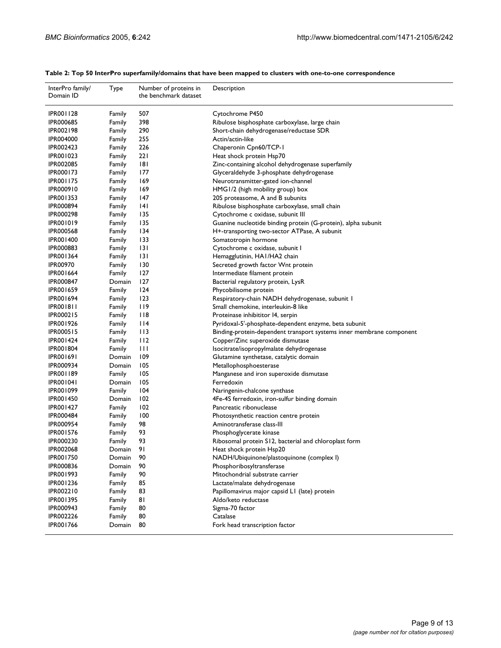| InterPro family/ | Type   | Number of proteins in | Description                                                          |
|------------------|--------|-----------------------|----------------------------------------------------------------------|
| Domain ID        |        | the benchmark dataset |                                                                      |
|                  |        |                       |                                                                      |
| <b>IPR001128</b> | Family | 507                   | Cytochrome P450                                                      |
| <b>IPR000685</b> | Family | 398                   | Ribulose bisphosphate carboxylase, large chain                       |
| <b>IPR002198</b> | Family | 290                   | Short-chain dehydrogenase/reductase SDR                              |
| <b>IPR004000</b> | Family | 255                   | Actin/actin-like                                                     |
| IPR002423        | Family | 226                   | Chaperonin Cpn60/TCP-1                                               |
| <b>IPR001023</b> | Family | 22 I                  | Heat shock protein Hsp70                                             |
| <b>IPR002085</b> | Family | 181                   | Zinc-containing alcohol dehydrogenase superfamily                    |
| <b>IPR000173</b> | Family | 177                   | Glyceraldehyde 3-phosphate dehydrogenase                             |
| <b>IPROOI175</b> | Family | 169                   | Neurotransmitter-gated ion-channel                                   |
| <b>IPR000910</b> | Family | 169                   | HMG1/2 (high mobility group) box                                     |
| <b>IPR001353</b> | Family | 147                   | 20S proteasome, A and B subunits                                     |
| IPR000894        | Family | 14 I                  | Ribulose bisphosphate carboxylase, small chain                       |
| <b>IPR000298</b> | Family | 135                   | Cytochrome c oxidase, subunit III                                    |
| IPR001019        | Family | 135                   | Guanine nucleotide binding protein (G-protein), alpha subunit        |
| <b>IPR000568</b> | Family | 134                   | H+-transporting two-sector ATPase, A subunit                         |
| <b>IPR001400</b> | Family | 133                   | Somatotropin hormone                                                 |
| <b>IPR000883</b> | Family | 131                   | Cytochrome c oxidase, subunit I                                      |
| <b>IPR001364</b> | Family | 131                   | Hemagglutinin, HAI/HA2 chain                                         |
| <b>IPR00970</b>  | Family | 130                   | Secreted growth factor Wnt protein                                   |
| <b>IPR001664</b> | Family | 127                   | Intermediate filament protein                                        |
| <b>IPR000847</b> | Domain | 127                   | Bacterial regulatory protein, LysR                                   |
| IPR001659        | Family | 124                   | Phycobilisome protein                                                |
| <b>IPR001694</b> | Family | 123                   | Respiratory-chain NADH dehydrogenase, subunit 1                      |
| <b>IPR001811</b> | Family | 119                   | Small chemokine, interleukin-8 like                                  |
| <b>IPR000215</b> | Family | 18                    | Proteinase inhibititor 14, serpin                                    |
| IPR001926        | Family | $ $  4                | Pyridoxal-5'-phosphate-dependent enzyme, beta subunit                |
| <b>IPR000515</b> | Family | 113                   | Binding-protein-dependent transport systems inner membrane component |
| <b>IPR001424</b> | Family | 112                   | Copper/Zinc superoxide dismutase                                     |
| <b>IPR001804</b> | Family | Ш                     | Isocitrate/isopropylmalate dehydrogenase                             |
| <b>IPR001691</b> | Domain | 109                   | Glutamine synthetase, catalytic domain                               |
| IPR000934        | Domain | 105                   | Metallophosphoesterase                                               |
| IPR001189        | Family | 105                   | Manganese and iron superoxide dismutase                              |
| <b>IPR001041</b> | Domain | 105                   | Ferredoxin                                                           |
| IPR001099        | Family | 104                   | Naringenin-chalcone synthase                                         |
| <b>IPR001450</b> | Domain | 102                   | 4Fe-4S ferredoxin, iron-sulfur binding domain                        |
| IPR001427        | Family | 102                   | Pancreatic ribonuclease                                              |
| <b>IPR000484</b> | Family | 100                   | Photosynthetic reaction centre protein                               |
| <b>IPR000954</b> | Family | 98                    | Aminotransferase class-III                                           |
| IPR001576        | Family | 93                    | Phosphoglycerate kinase                                              |
| <b>IPR000230</b> | Family | 93                    | Ribosomal protein S12, bacterial and chloroplast form                |
| <b>IPR002068</b> | Domain | 91                    | Heat shock protein Hsp20                                             |
| <b>IPR001750</b> | Domain | 90                    | NADH/Ubiquinone/plastoquinone (complex I)                            |
| IPR000836        | Domain | 90                    | Phosphoribosyltransferase                                            |
| IPR001993        | Family | 90                    | Mitochondrial substrate carrier                                      |
| <b>IPR001236</b> | Family | 85                    | Lactate/malate dehydrogenase                                         |
| IPR002210        | Family | 83                    | Papillomavirus major capsid L1 (late) protein                        |
| IPR001395        | Family | 81                    | Aldo/keto reductase                                                  |
| IPR000943        | Family | 80                    | Sigma-70 factor                                                      |
| IPR002226        | Family | 80                    | Catalase                                                             |
| IPR001766        | Domain | 80                    | Fork head transcription factor                                       |
|                  |        |                       |                                                                      |

#### **Table 2: Top 50 InterPro superfamily/domains that have been mapped to clusters with one-to-one correspondence**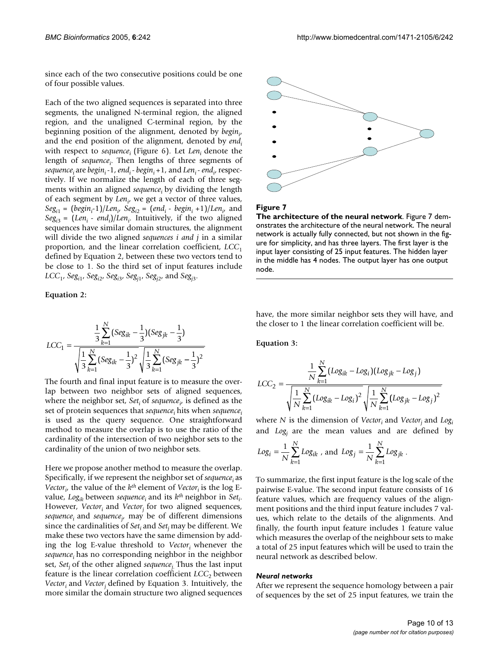since each of the two consecutive positions could be one of four possible values.

Each of the two aligned sequences is separated into three segments, the unaligned N-terminal region, the aligned region, and the unaligned C-terminal region, by the beginning position of the alignment, denoted by *begin<sub>i</sub>*, and the end position of the alignment, denoted by *endi* with respect to *sequence<sub>i</sub>* (Figure 6). Let *Len<sub>i</sub>* denote the length of *sequence<sub>i</sub>.* Then lengths of three segments of *sequencei* are *begini* -1, *endi* - *begini* +1, and *Leni* - *endi* , respectively. If we normalize the length of each of three segments within an aligned *sequence*; by dividing the length of each segment by *Len*<sub>*i*</sub>, we get a vector of three values,  $Seg_{i1} = (begin_{i}1)$ /*Len<sub>i</sub>*,  $Seg_{i2} = (end_{i} - begin_{i} + 1)$ /*Len<sub>i</sub>*, and *Segi*3 = (*Leni* - *endi* )/*Leni* . Intuitively, if the two aligned sequences have similar domain structures, the alignment will divide the two aligned *sequences i and j* in a similar proportion, and the linear correlation coefficient, *LCC*<sub>1</sub> defined by Equation 2, between these two vectors tend to be close to 1. So the third set of input features include *LCC*1, *Segi*1, *Segi*2, *Segi*3, *Segj*1, *Segj*2, and *Segj*3.

**Equation 2:**

$$
LCC_1 = \frac{\frac{1}{3}\sum\limits_{k=1}^{N}(Seg_{ik}-\frac{1}{3})(Seg_{jk}-\frac{1}{3})}{\sqrt{\frac{1}{3}\sum\limits_{k=1}^{N}(Seg_{ik}-\frac{1}{3})^2}\sqrt{\frac{1}{3}\sum\limits_{k=1}^{N}(Seg_{jk}-\frac{1}{3})^2}}
$$

The fourth and final input feature is to measure the overlap between two neighbor sets of aligned sequences, where the neighbor set, *Seti* of *sequencei* , is defined as the set of protein sequences that *sequence<sub>i</sub>* hits when *sequence<sub>i</sub>* is used as the query sequence. One straightforward method to measure the overlap is to use the ratio of the cardinality of the intersection of two neighbor sets to the cardinality of the union of two neighbor sets.

Here we propose another method to measure the overlap. Specifically, if we represent the neighbor set of *sequence*<sub>*i*</sub> as *Vector<sub>i</sub>*, the value of the  $k^{th}$  element of *Vector<sub>i</sub>* is the log Evalue, *Logik* between *sequencei* and its *kth* neighbor in *Seti* . However, *Vector<sub>i</sub>* and *Vector<sub>i</sub>* for two aligned sequences, *sequencei* and *sequencej* , may be of different dimensions since the cardinalities of *Set<sub>i</sub>* and *Set<sub>i</sub>* may be different. We make these two vectors have the same dimension by adding the log E-value threshold to *Vectori* whenever the *sequence<sub>i</sub>* has no corresponding neighbor in the neighbor set, *Setj* of the other aligned *sequencej*. Thus the last input feature is the linear correlation coefficient  $LCC<sub>2</sub>$  between *Vector<sub>i</sub>* and *Vector<sub>i</sub>* defined by Equation 3. Intuitively, the more similar the domain structure two aligned sequences



#### Figure 7

**The architecture of the neural network**. Figure 7 demonstrates the architecture of the neural network. The neural network is actually fully connected, but not shown in the figure for simplicity, and has three layers. The first layer is the input layer consisting of 25 input features. The hidden layer in the middle has 4 nodes. The output layer has one output node.

have, the more similar neighbor sets they will have, and the closer to 1 the linear correlation coefficient will be.

**Equation 3:**

$$
LCC_2 = \frac{\frac{1}{N} \sum_{k=1}^{N} (Log_{ik} - Log_i)(Log_{jk} - Log_j)}{\sqrt{\frac{1}{N} \sum_{k=1}^{N} (Log_{ik} - Log_i)^2} \sqrt{\frac{1}{N} \sum_{k=1}^{N} (Log_{jk} - Log_j)^2}}
$$

where *N* is the dimension of *Vectori* and *Vectorj* and *Logi* and *Log<sub>i</sub>* are the mean values and are defined by

$$
Log_i = \frac{1}{N} \sum_{k=1}^{N} Log_{ik}
$$
, and  $Log_j = \frac{1}{N} \sum_{k=1}^{N} Log_{jk}$ .

To summarize, the first input feature is the log scale of the pairwise E-value. The second input feature consists of 16 feature values, which are frequency values of the alignment positions and the third input feature includes 7 values, which relate to the details of the alignments. And finally, the fourth input feature includes 1 feature value which measures the overlap of the neighbour sets to make a total of 25 input features which will be used to train the neural network as described below.

#### *Neural networks*

After we represent the sequence homology between a pair of sequences by the set of 25 input features, we train the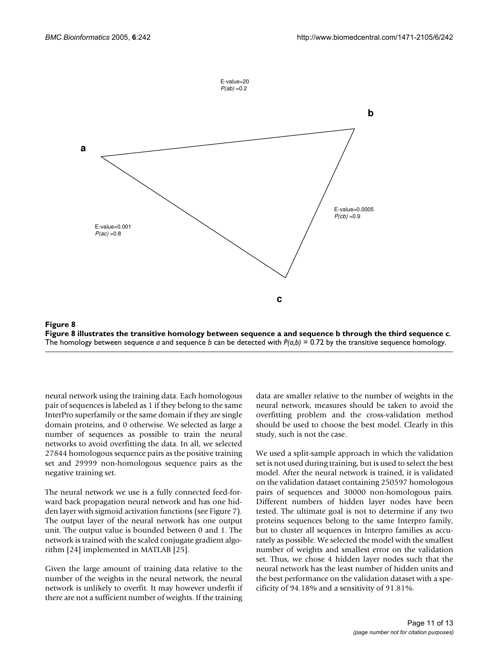

**Figure 8 illustrates the transitive homology between sequence a and sequence b through the third sequence c**. The homology between sequence *a* and sequence *b* can be detected with  $P(a,b) = 0.72$  by the transitive sequence homology.

neural network using the training data. Each homologous pair of sequences is labeled as 1 if they belong to the same InterPro superfamily or the same domain if they are single domain proteins, and 0 otherwise. We selected as large a number of sequences as possible to train the neural networks to avoid overfitting the data. In all, we selected 27844 homologous sequence pairs as the positive training set and 29999 non-homologous sequence pairs as the negative training set.

The neural network we use is a fully connected feed-forward back propagation neural network and has one hidden layer with sigmoid activation functions (see Figure 7). The output layer of the neural network has one output unit. The output value is bounded between 0 and 1. The network is trained with the scaled conjugate gradient algorithm [24] implemented in MATLAB [25].

Given the large amount of training data relative to the number of the weights in the neural network, the neural network is unlikely to overfit. It may however underfit if there are not a sufficient number of weights. If the training data are smaller relative to the number of weights in the neural network, measures should be taken to avoid the overfitting problem and the cross-validation method should be used to choose the best model. Clearly in this study, such is not the case.

We used a split-sample approach in which the validation set is not used during training, but is used to select the best model. After the neural network is trained, it is validated on the validation dataset containing 250597 homologous pairs of sequences and 30000 non-homologous pairs. Different numbers of hidden layer nodes have been tested. The ultimate goal is not to determine if any two proteins sequences belong to the same Interpro family, but to cluster all sequences in Interpro families as accurately as possible. We selected the model with the smallest number of weights and smallest error on the validation set. Thus, we chose 4 hidden layer nodes such that the neural network has the least number of hidden units and the best performance on the validation dataset with a specificity of 94.18% and a sensitivity of 91.81%.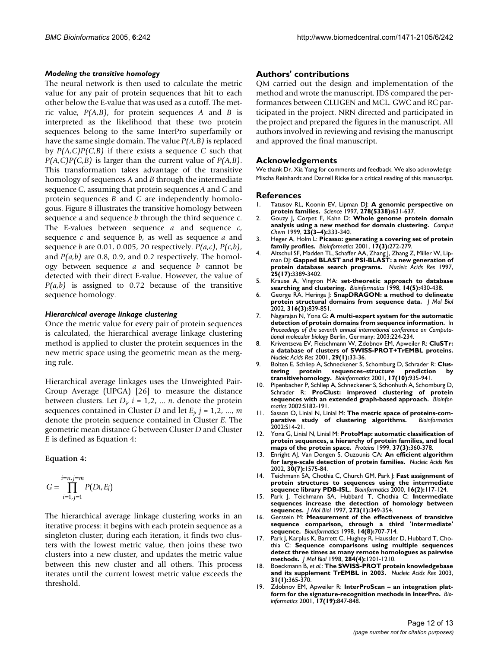#### *Modeling the transitive homology*

The neural network is then used to calculate the metric value for any pair of protein sequences that hit to each other below the E-value that was used as a cutoff. The metric value, *P(A,B)*, for protein sequences *A* and *B* is interpreted as the likelihood that these two protein sequences belong to the same InterPro superfamily or have the same single domain. The value *P(A,B)* is replaced by *P(A,C)P(C,B)* if there exists a sequence *C* such that *P(A,C)P(C,B)* is larger than the current value of *P(A,B)*. This transformation takes advantage of the transitive homology of sequences *A* and *B* through the intermediate sequence *C*, assuming that protein sequences *A* and *C* and protein sequences *B* and *C* are independently homologous. Figure 8 illustrates the transitive homology between sequence *a* and sequence *b* through the third sequence c. The E-values between sequence *a* and sequence *c*, sequence *c* and sequence *b*, as well as sequence *a* and sequence *b* are 0.01, 0.005, 20 respectively. *P(a,c)*, *P(c,b)*, and *P(a,b)* are 0.8, 0.9, and 0.2 respectively. The homology between sequence *a* and sequence *b* cannot be detected with their direct E-value. However, the value of *P(a,b)* is assigned to 0.72 because of the transitive sequence homology.

#### *Hierarchical average linkage clustering*

Once the metric value for every pair of protein sequences is calculated, the hierarchical average linkage clustering method is applied to cluster the protein sequences in the new metric space using the geometric mean as the merging rule.

Hierarchical average linkages uses the Unweighted Pair-Group Average (UPGA) [26] to measure the distance between clusters. Let  $D_i$ ,  $i = 1, 2, ... n$ . denote the protein sequences contained in Cluster *D* and let *Ej* , *j* = 1,2, ..., *m* denote the protein sequence contained in Cluster *E*. The geometric mean distance *G* between Cluster *D* and Cluster *E* is defined as Equation 4:

#### **Equation 4:**

$$
G = \prod_{i=1,j=1}^{i=n,j=m} P(Di,Ej)
$$

The hierarchical average linkage clustering works in an iterative process: it begins with each protein sequence as a singleton cluster; during each iteration, it finds two clusters with the lowest metric value, then joins these two clusters into a new cluster, and updates the metric value between this new cluster and all others. This process iterates until the current lowest metric value exceeds the threshold.

#### **Authors' contributions**

QM carried out the design and implementation of the method and wrote the manuscript. JDS compared the performances between CLUGEN and MCL. GWC and RC participated in the project. NRN directed and participated in the project and prepared the figures in the manuscript. All authors involved in reviewing and revising the manuscript and approved the final manuscript.

#### **Acknowledgements**

We thank Dr. Xia Yang for comments and feedback. We also acknowledge Mischa Reinhardt and Darrell Ricke for a critical reading of this manuscript.

#### **References**

- 1. Tatusov RL, Koonin EV, Lipman DJ: **[A genomic perspective on](http://www.ncbi.nlm.nih.gov/entrez/query.fcgi?cmd=Retrieve&db=PubMed&dopt=Abstract&list_uids=9381173) [protein families.](http://www.ncbi.nlm.nih.gov/entrez/query.fcgi?cmd=Retrieve&db=PubMed&dopt=Abstract&list_uids=9381173)** *Science* 1997, **278(5338):**631-637.
- 2. Gouzy J, Corpet F, Kahn D: **[Whole genome protein domain](http://www.ncbi.nlm.nih.gov/entrez/query.fcgi?cmd=Retrieve&db=PubMed&dopt=Abstract&list_uids=10404623) [analysis using a new method for domain clustering.](http://www.ncbi.nlm.nih.gov/entrez/query.fcgi?cmd=Retrieve&db=PubMed&dopt=Abstract&list_uids=10404623)** *Comput Chem* 1999, **23(3–4):**333-340.
- 3. Heger A, Holm L: **[Picasso: generating a covering set of protein](http://www.ncbi.nlm.nih.gov/entrez/query.fcgi?cmd=Retrieve&db=PubMed&dopt=Abstract&list_uids=11294792) [family profiles.](http://www.ncbi.nlm.nih.gov/entrez/query.fcgi?cmd=Retrieve&db=PubMed&dopt=Abstract&list_uids=11294792)** *Bioinformatics* 2001, **17(3):**272-279.
- 4. Altschul SF, Madden TL, Schaffer AA, Zhang J, Zhang Z, Miller W, Lipman DJ: **[Gapped BLAST and PSI-BLAST: a new generation of](http://www.ncbi.nlm.nih.gov/entrez/query.fcgi?cmd=Retrieve&db=PubMed&dopt=Abstract&list_uids=9254694) [protein database search programs.](http://www.ncbi.nlm.nih.gov/entrez/query.fcgi?cmd=Retrieve&db=PubMed&dopt=Abstract&list_uids=9254694)** *Nucleic Acids Res* 1997, **25(17):**3389-3402.
- 5. Krause A, Vingron MA: **[set-theoretic approach to database](http://www.ncbi.nlm.nih.gov/entrez/query.fcgi?cmd=Retrieve&db=PubMed&dopt=Abstract&list_uids=9682056) [searching and clustering.](http://www.ncbi.nlm.nih.gov/entrez/query.fcgi?cmd=Retrieve&db=PubMed&dopt=Abstract&list_uids=9682056)** *Bioinformatics* 1998, **14(5):**430-438.
- 6. George RA, Heringa J: **[SnapDRAGON: a method to delineate](http://www.ncbi.nlm.nih.gov/entrez/query.fcgi?cmd=Retrieve&db=PubMed&dopt=Abstract&list_uids=11866536) [protein structural domains from sequence data.](http://www.ncbi.nlm.nih.gov/entrez/query.fcgi?cmd=Retrieve&db=PubMed&dopt=Abstract&list_uids=11866536)** *J Mol Biol* 2002, **316(3):**839-851.
- 7. Nagarajan N, Yona G: **A multi-expert system for the automatic detection of protein domains from sequence information.** In *Proceedings of the seventh annual international conference on Computational molecular biology* Berlin, Germany; 2003:224-234.
- 8. Kriventseva EV, Fleischmann W, Zdobnov EM, Apweiler R: **[CluSTr:](http://www.ncbi.nlm.nih.gov/entrez/query.fcgi?cmd=Retrieve&db=PubMed&dopt=Abstract&list_uids=11125042) [a database of clusters of SWISS-PROT+TrEMBL proteins.](http://www.ncbi.nlm.nih.gov/entrez/query.fcgi?cmd=Retrieve&db=PubMed&dopt=Abstract&list_uids=11125042)** *Nucleic Acids Res* 2001, **29(1):**33-36.
- 9. Bolten E, Schliep A, Schneckener S, Schomburg D, Schrader R: **[Clus](http://www.ncbi.nlm.nih.gov/entrez/query.fcgi?cmd=Retrieve&db=PubMed&dopt=Abstract&list_uids=11673238)**protein sequences–structure prediction by **[transitivehomology.](http://www.ncbi.nlm.nih.gov/entrez/query.fcgi?cmd=Retrieve&db=PubMed&dopt=Abstract&list_uids=11673238)** *Bioinformatics* 2001, **17(10):**935-941.
- 10. Pipenbacher P, Schliep A, Schneckener S, Schonhuth A, Schomburg D, Schrader R: **ProClust: improved clustering of protein sequences with an extended graph-based approach.** *Bioinformatics* 2002:S182-191.
- 11. Sasson O, Linial N, Linial M: **The metric space of proteins-comparative study of clustering algorithms.** *Bioinformatics* 2002:S14-21.
- 12. Yona G, Linial N, Linial M: **[ProtoMap: automatic classification of](http://www.ncbi.nlm.nih.gov/entrez/query.fcgi?cmd=Retrieve&db=PubMed&dopt=Abstract&list_uids=10591097) [protein sequences, a hierarchy of protein families, and local](http://www.ncbi.nlm.nih.gov/entrez/query.fcgi?cmd=Retrieve&db=PubMed&dopt=Abstract&list_uids=10591097) [maps of the protein space.](http://www.ncbi.nlm.nih.gov/entrez/query.fcgi?cmd=Retrieve&db=PubMed&dopt=Abstract&list_uids=10591097)** *Proteins* 1999, **37(3):**360-378.
- 13. Enright AJ, Van Dongen S, Ouzounis CA: **[An efficient algorithm](http://www.ncbi.nlm.nih.gov/entrez/query.fcgi?cmd=Retrieve&db=PubMed&dopt=Abstract&list_uids=11917018) [for large-scale detection of protein families.](http://www.ncbi.nlm.nih.gov/entrez/query.fcgi?cmd=Retrieve&db=PubMed&dopt=Abstract&list_uids=11917018)** *Nucleic Acids Res* 2002, **30(7):**1575-84.
- 14. Teichmann SA, Chothia C, Church GM, Park J: **[Fast assignment of](http://www.ncbi.nlm.nih.gov/entrez/query.fcgi?cmd=Retrieve&db=PubMed&dopt=Abstract&list_uids=10842732) [protein structures to sequences using the intermediate](http://www.ncbi.nlm.nih.gov/entrez/query.fcgi?cmd=Retrieve&db=PubMed&dopt=Abstract&list_uids=10842732) [sequence library PDB-ISL.](http://www.ncbi.nlm.nih.gov/entrez/query.fcgi?cmd=Retrieve&db=PubMed&dopt=Abstract&list_uids=10842732)** *Bioinformatics* 2000, **16(2):**117-124.
- 15. Park J, Teichmann SA, Hubbard T, Chothia C: **[Intermediate](http://www.ncbi.nlm.nih.gov/entrez/query.fcgi?cmd=Retrieve&db=PubMed&dopt=Abstract&list_uids=9367767) [sequences increase the detection of homology between](http://www.ncbi.nlm.nih.gov/entrez/query.fcgi?cmd=Retrieve&db=PubMed&dopt=Abstract&list_uids=9367767) [sequences.](http://www.ncbi.nlm.nih.gov/entrez/query.fcgi?cmd=Retrieve&db=PubMed&dopt=Abstract&list_uids=9367767)** *J Mol Biol* 1997, **273(1):**349-354.
- 16. Gerstein M: **[Measurement of the effectiveness of transitive](http://www.ncbi.nlm.nih.gov/entrez/query.fcgi?cmd=Retrieve&db=PubMed&dopt=Abstract&list_uids=9789096) [sequence comparison, through a third 'intermediate'](http://www.ncbi.nlm.nih.gov/entrez/query.fcgi?cmd=Retrieve&db=PubMed&dopt=Abstract&list_uids=9789096) [sequence.](http://www.ncbi.nlm.nih.gov/entrez/query.fcgi?cmd=Retrieve&db=PubMed&dopt=Abstract&list_uids=9789096)** *Bioinformatics* 1998, **14(8):**707-714.
- 17. Park J, Karplus K, Barrett C, Hughey R, Haussler D, Hubbard T, Chothia C: **[Sequence comparisons using multiple sequences](http://www.ncbi.nlm.nih.gov/entrez/query.fcgi?cmd=Retrieve&db=PubMed&dopt=Abstract&list_uids=9837738) [detect three times as many remote homologues as pairwise](http://www.ncbi.nlm.nih.gov/entrez/query.fcgi?cmd=Retrieve&db=PubMed&dopt=Abstract&list_uids=9837738) [methods.](http://www.ncbi.nlm.nih.gov/entrez/query.fcgi?cmd=Retrieve&db=PubMed&dopt=Abstract&list_uids=9837738)** *J Mol Biol* 1998, **284(4):**1201-1210.
- 18. Boeckmann B, *et al.*: **[The SWISS-PROT protein knowledgebase](http://www.ncbi.nlm.nih.gov/entrez/query.fcgi?cmd=Retrieve&db=PubMed&dopt=Abstract&list_uids=12520024) [and its supplement TrEMBL in 2003.](http://www.ncbi.nlm.nih.gov/entrez/query.fcgi?cmd=Retrieve&db=PubMed&dopt=Abstract&list_uids=12520024)** *Nucleic Acids Res* 2003, **31(1):**365-370.
- 19. Zdobnov EM, Apweiler R: **[InterProScan an integration plat](http://www.ncbi.nlm.nih.gov/entrez/query.fcgi?cmd=Retrieve&db=PubMed&dopt=Abstract&list_uids=11590104)[form for the signature-recognition methods in InterPro.](http://www.ncbi.nlm.nih.gov/entrez/query.fcgi?cmd=Retrieve&db=PubMed&dopt=Abstract&list_uids=11590104)** *Bioinformatics* 2001, **17(19):**847-848.